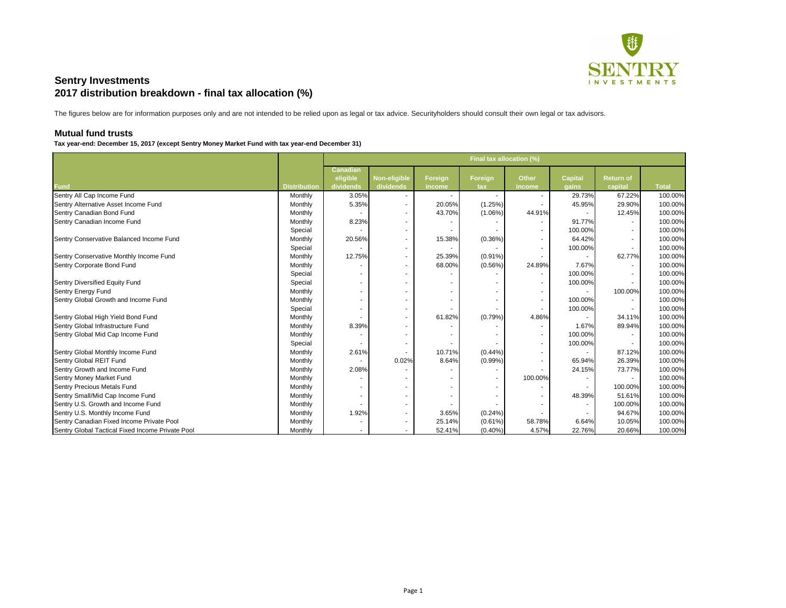

## **Mutual fund trusts**

Tax year-end: December 15, 2017 (except Sentry Money Market Fund with tax year-end December 31)

|                                                  |                     | Final tax allocation (%) |                     |                |            |              |                |                  |              |
|--------------------------------------------------|---------------------|--------------------------|---------------------|----------------|------------|--------------|----------------|------------------|--------------|
|                                                  |                     | <b>Canadian</b>          |                     |                |            |              |                |                  |              |
|                                                  |                     | eligible                 | <b>Non-eligible</b> | <b>Foreign</b> | Foreign    | <b>Other</b> | <b>Capital</b> | <b>Return of</b> |              |
| <b>Fund</b>                                      | <b>Distribution</b> | dividends                | dividends           | income         | tax        | income       | gains          | capital          | <b>Total</b> |
| Sentry All Cap Income Fund                       | Monthly             | 3.05%                    |                     |                |            |              | 29.73%         | 67.22%           | 100.00%      |
| Sentry Alternative Asset Income Fund             | Monthly             | 5.35%                    |                     | 20.05%         | (1.25%)    |              | 45.95%         | 29.90%           | 100.00%      |
| Sentry Canadian Bond Fund                        | Monthly             |                          |                     | 43.70%         | $(1.06\%)$ | 44.91%       |                | 12.45%           | 100.00%      |
| Sentry Canadian Income Fund                      | Monthly             | 8.23%                    |                     |                |            |              | 91.77%         |                  | 100.00%      |
|                                                  | Special             |                          | $\sim$              |                |            |              | 100.00%        |                  | 100.00%      |
| Sentry Conservative Balanced Income Fund         | Monthly             | 20.56%                   |                     | 15.38%         | (0.36%)    |              | 64.42%         |                  | 100.00%      |
|                                                  | Special             |                          |                     |                |            |              | 100.00%        |                  | 100.00%      |
| Sentry Conservative Monthly Income Fund          | Monthly             | 12.75%                   | $\sim$              | 25.39%         | $(0.91\%)$ |              |                | 62.77%           | 100.00%      |
| Sentry Corporate Bond Fund                       | Monthly             |                          |                     | 68.00%         | $(0.56\%)$ | 24.89%       | 7.67%          |                  | 100.00%      |
|                                                  | Special             |                          |                     |                |            |              | 100.00%        |                  | 100.00%      |
| Sentry Diversified Equity Fund                   | Special             |                          |                     |                |            |              | 100.00%        |                  | 100.00%      |
| Sentry Energy Fund                               | Monthly             |                          |                     |                |            |              |                | 100.00%          | 100.00%      |
| Sentry Global Growth and Income Fund             | Monthly             |                          |                     |                |            |              | 100.00%        |                  | 100.00%      |
|                                                  | Special             |                          |                     |                |            |              | 100.00%        |                  | 100.00%      |
| Sentry Global High Yield Bond Fund               | Monthly             |                          |                     | 61.82%         | (0.79%)    | 4.86%        |                | 34.11%           | 100.00%      |
| Sentry Global Infrastructure Fund                | Monthly             | 8.39%                    |                     |                |            |              | 1.67%          | 89.94%           | 100.00%      |
| Sentry Global Mid Cap Income Fund                | Monthly             |                          |                     |                |            |              | 100.00%        |                  | 100.00%      |
|                                                  | Special             |                          |                     |                |            |              | 100.00%        |                  | 100.00%      |
| Sentry Global Monthly Income Fund                | Monthly             | 2.61%                    |                     | 10.71%         | $(0.44\%)$ |              |                | 87.12%           | 100.00%      |
| Sentry Global REIT Fund                          | Monthly             |                          | 0.02%               | 8.64%          | $(0.99\%)$ |              | 65.94%         | 26.39%           | 100.00%      |
| Sentry Growth and Income Fund                    | Monthly             | 2.08%                    |                     |                |            |              | 24.15%         | 73.77%           | 100.00%      |
| Sentry Money Market Fund                         | Monthly             |                          |                     |                |            | 100.00%      |                | $\sim$           | 100.00%      |
| <b>Sentry Precious Metals Fund</b>               | Monthly             |                          | $\sim$              |                |            |              |                | 100.00%          | 100.00%      |
| Sentry Small/Mid Cap Income Fund                 | Monthly             |                          |                     |                |            |              | 48.39%         | 51.61%           | 100.00%      |
| Sentry U.S. Growth and Income Fund               | Monthly             |                          |                     |                |            |              |                | 100.00%          | 100.00%      |
| Sentry U.S. Monthly Income Fund                  | Monthly             | 1.92%                    |                     | 3.65%          | $(0.24\%)$ |              |                | 94.67%           | 100.00%      |
| Sentry Canadian Fixed Income Private Pool        | Monthly             |                          |                     | 25.14%         | $(0.61\%)$ | 58.78%       | 6.64%          | 10.05%           | 100.00%      |
| Sentry Global Tactical Fixed Income Private Pool | Monthly             |                          |                     | 52.41%         | $(0.40\%)$ | 4.57%        | 22.76%         | 20.66%           | 100.00%      |

The figures below are for information purposes only and are not intended to be relied upon as legal or tax advice. Securityholders should consult their own legal or tax advisors.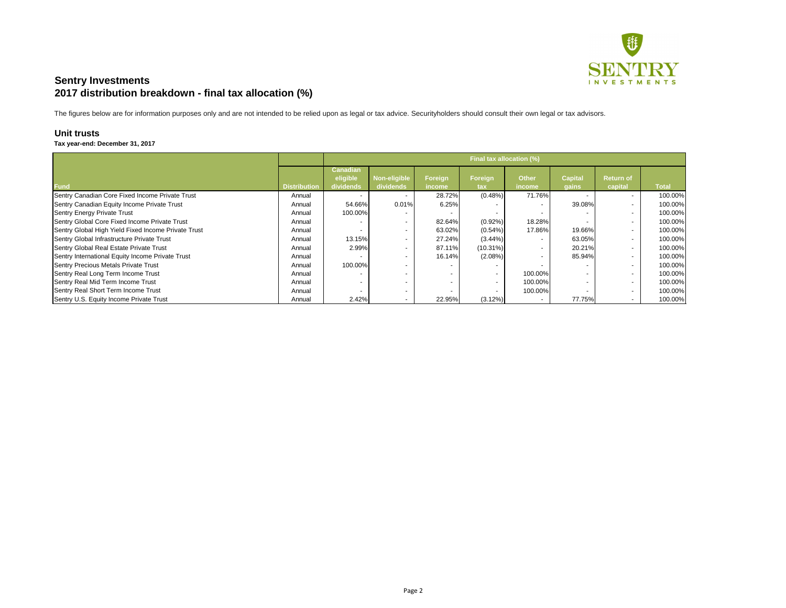

The figures below are for information purposes only and are not intended to be relied upon as legal or tax advice. Securityholders should consult their own legal or tax advisors.

## **Unit trusts**

## Tax year-end: December 31, 2017

|                                                     |                     | Final tax allocation (%)    |              |         |                          |              |                |                          |              |
|-----------------------------------------------------|---------------------|-----------------------------|--------------|---------|--------------------------|--------------|----------------|--------------------------|--------------|
|                                                     |                     | <b>Canadian</b><br>eligible | Non-eligible | Foreign | Foreign                  | <b>Other</b> | <b>Capital</b> | <b>Return of</b>         |              |
| <b>Fund</b>                                         | <b>Distribution</b> | dividends                   | dividends    | income  | tax                      | income       | gains          | capital                  | <b>Total</b> |
| Sentry Canadian Core Fixed Income Private Trust     | Annual              |                             |              | 28.72%  | (0.48%)                  | 71.76%       |                | $\sim$                   | 100.00%      |
| Sentry Canadian Equity Income Private Trust         | Annual              | 54.66%                      | 0.01%        | 6.25%   |                          |              | 39.08%         | $\overline{\phantom{a}}$ | 100.00%      |
| Sentry Energy Private Trust                         | Annual              | 100.00%                     |              |         |                          |              |                | $\overline{\phantom{a}}$ | 100.00%      |
| Sentry Global Core Fixed Income Private Trust       | Annual              |                             |              | 82.64%  | $(0.92\%)$               | 18.28%       |                | $\overline{\phantom{a}}$ | 100.00%      |
| Sentry Global High Yield Fixed Income Private Trust | Annual              |                             |              | 63.02%  | (0.54%)                  | 17.86%       | 19.66%         | $\sim$                   | 100.00%      |
| Sentry Global Infrastructure Private Trust          | Annual              | 13.15%                      |              | 27.24%  | $(3.44\%)$               |              | 63.05%         | $\overline{\phantom{a}}$ | 100.00%      |
| Sentry Global Real Estate Private Trust             | Annual              | 2.99%                       |              | 87.11%  | $(10.31\%)$              |              | 20.21%         | $\overline{\phantom{a}}$ | 100.00%      |
| Sentry International Equity Income Private Trust    | Annual              |                             |              | 16.14%  | $(2.08\%)$               |              | 85.94%         | $\overline{\phantom{a}}$ | 100.00%      |
| Sentry Precious Metals Private Trust                | Annual              | 100.00%                     |              |         | $\overline{\phantom{a}}$ |              |                | $\overline{\phantom{a}}$ | 100.00%      |
| Sentry Real Long Term Income Trust                  | Annual              |                             |              |         | $\sim$                   | 100.00%      |                | $\sim$                   | 100.00%      |
| Sentry Real Mid Term Income Trust                   | Annual              |                             | . .          |         | $\sim$                   | 100.00%      |                | $\sim$                   | 100.00%      |
| Sentry Real Short Term Income Trust                 | Annual              |                             | н.           |         | $\sim$                   | 100.00%      |                | $\overline{\phantom{a}}$ | 100.00%      |
| Sentry U.S. Equity Income Private Trust             | Annual              | 2.42%                       | . .          | 22.95%  | $(3.12\%)$               |              | 77.75%         | $\overline{\phantom{a}}$ | 100.00%      |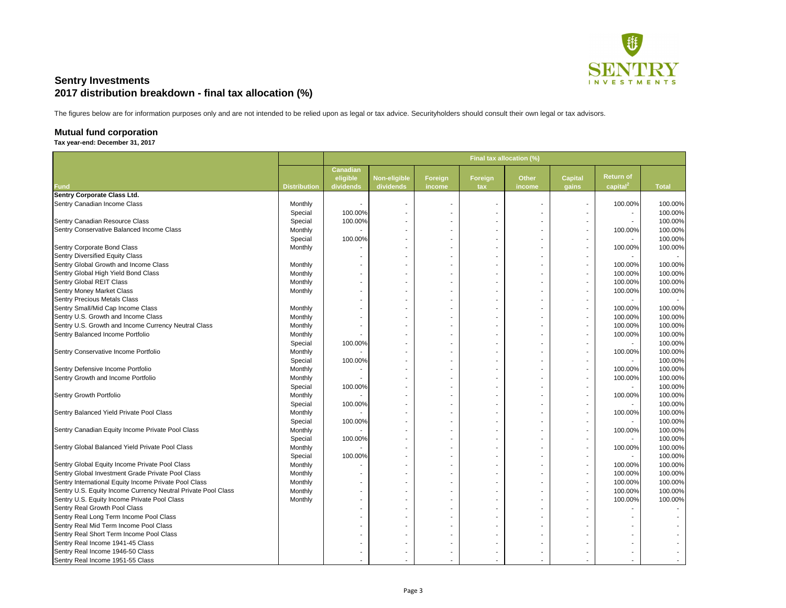

The figures below are for information purposes only and are not intended to be relied upon as legal or tax advice. Securityholders should consult their own legal or tax advisors.

## **Mutual fund corporation**

### **Tax year-end: December 31, 2017**

|                                                               |                     | Final tax allocation (%)                 |                                  |                   |                       |                        |                         |                                                     |              |
|---------------------------------------------------------------|---------------------|------------------------------------------|----------------------------------|-------------------|-----------------------|------------------------|-------------------------|-----------------------------------------------------|--------------|
| <b>Fund</b>                                                   | <b>Distribution</b> | <b>Canadian</b><br>eligible<br>dividends | <b>Non-eligible</b><br>dividends | Foreign<br>income | <b>Foreign</b><br>tax | <b>Other</b><br>income | <b>Capital</b><br>gains | <b>Return of</b><br>$\sqrt{2}$ capital <sup>2</sup> | <b>Total</b> |
| <b>Sentry Corporate Class Ltd.</b>                            |                     |                                          |                                  |                   |                       |                        |                         |                                                     |              |
| Sentry Canadian Income Class                                  | Monthly             | $\blacksquare$                           |                                  |                   | ٠                     |                        |                         | 100.00%                                             | 100.00%      |
|                                                               | Special             | 100.00%                                  |                                  |                   |                       |                        |                         | $\sim$                                              | 100.00%      |
| Sentry Canadian Resource Class                                | Special             | 100.00%                                  |                                  |                   |                       |                        |                         |                                                     | 100.00%      |
| Sentry Conservative Balanced Income Class                     | Monthly             |                                          |                                  |                   |                       |                        |                         | 100.00%                                             | 100.00%      |
|                                                               | Special             | 100.00%                                  |                                  |                   |                       |                        |                         |                                                     | 100.00%      |
| Sentry Corporate Bond Class                                   | Monthly             |                                          |                                  |                   | $\sim$                |                        |                         | 100.00%                                             | 100.00%      |
| <b>Sentry Diversified Equity Class</b>                        |                     |                                          |                                  |                   |                       |                        |                         |                                                     |              |
| Sentry Global Growth and Income Class                         | Monthly             | $\blacksquare$                           |                                  |                   |                       |                        |                         | 100.00%                                             | 100.00%      |
| Sentry Global High Yield Bond Class                           | Monthly             | $\blacksquare$                           |                                  |                   |                       |                        |                         | 100.00%                                             | 100.00%      |
| <b>Sentry Global REIT Class</b>                               | Monthly             | ٠                                        |                                  |                   |                       |                        |                         | 100.00%                                             | 100.00%      |
| <b>Sentry Money Market Class</b>                              | Monthly             | $\blacksquare$                           |                                  |                   |                       |                        |                         | 100.00%                                             | 100.00%      |
| <b>Sentry Precious Metals Class</b>                           |                     | $\blacksquare$                           |                                  |                   |                       |                        |                         |                                                     |              |
| Sentry Small/Mid Cap Income Class                             | Monthly             | $\blacksquare$                           |                                  |                   |                       |                        |                         | 100.00%                                             | 100.00%      |
| Sentry U.S. Growth and Income Class                           | Monthly             | $\blacksquare$                           |                                  |                   |                       |                        |                         | 100.00%                                             | 100.00%      |
| Sentry U.S. Growth and Income Currency Neutral Class          | Monthly             | $\blacksquare$                           |                                  |                   |                       |                        |                         | 100.00%                                             | 100.00%      |
| Sentry Balanced Income Portfolio                              | Monthly             |                                          |                                  |                   |                       |                        |                         | 100.00%                                             | 100.00%      |
|                                                               | Special             | 100.00%                                  |                                  |                   |                       |                        |                         | $\sim$                                              | 100.00%      |
| Sentry Conservative Income Portfolio                          | Monthly             |                                          |                                  |                   |                       |                        |                         | 100.00%                                             | 100.00%      |
|                                                               | Special             | 100.00%                                  |                                  |                   |                       |                        |                         | $\sim$                                              | 100.00%      |
| Sentry Defensive Income Portfolio                             | Monthly             |                                          |                                  |                   |                       |                        |                         | 100.00%                                             | 100.00%      |
| Sentry Growth and Income Portfolio                            | Monthly             |                                          |                                  |                   |                       |                        |                         | 100.00%                                             | 100.00%      |
|                                                               | Special             | 100.00%                                  |                                  |                   |                       |                        |                         |                                                     | 100.00%      |
| Sentry Growth Portfolio                                       | Monthly             |                                          |                                  |                   |                       |                        |                         | 100.00%                                             | 100.00%      |
|                                                               | Special             | 100.00%                                  |                                  |                   |                       |                        |                         | $\sim$                                              | 100.00%      |
| Sentry Balanced Yield Private Pool Class                      | Monthly             |                                          |                                  |                   |                       |                        |                         | 100.00%                                             | 100.00%      |
|                                                               | Special             | 100.00%                                  |                                  |                   |                       |                        |                         |                                                     | 100.00%      |
| Sentry Canadian Equity Income Private Pool Class              | Monthly             |                                          |                                  |                   |                       |                        |                         | 100.00%                                             | 100.00%      |
|                                                               | Special             | 100.00%                                  |                                  |                   |                       |                        |                         |                                                     | 100.00%      |
| Sentry Global Balanced Yield Private Pool Class               | Monthly             |                                          |                                  |                   |                       |                        |                         | 100.00%                                             | 100.00%      |
|                                                               | Special             | 100.00%                                  |                                  |                   |                       |                        |                         |                                                     | 100.00%      |
| Sentry Global Equity Income Private Pool Class                | Monthly             |                                          |                                  |                   |                       |                        |                         | 100.00%                                             | 100.00%      |
| Sentry Global Investment Grade Private Pool Class             | Monthly             |                                          |                                  |                   |                       |                        |                         | 100.00%                                             | 100.00%      |
| Sentry International Equity Income Private Pool Class         | Monthly             |                                          |                                  |                   |                       |                        |                         | 100.00%                                             | 100.00%      |
| Sentry U.S. Equity Income Currency Neutral Private Pool Class | Monthly             |                                          |                                  |                   |                       |                        |                         | 100.00%                                             | 100.00%      |
| Sentry U.S. Equity Income Private Pool Class                  | Monthly             |                                          |                                  |                   |                       |                        |                         | 100.00%                                             | 100.00%      |
| Sentry Real Growth Pool Class                                 |                     |                                          |                                  |                   |                       |                        |                         |                                                     |              |
| Sentry Real Long Term Income Pool Class                       |                     |                                          |                                  |                   |                       |                        |                         |                                                     |              |
| Sentry Real Mid Term Income Pool Class                        |                     |                                          |                                  |                   |                       |                        |                         |                                                     |              |
| Sentry Real Short Term Income Pool Class                      |                     |                                          |                                  |                   |                       |                        |                         |                                                     |              |
| Sentry Real Income 1941-45 Class                              |                     |                                          |                                  |                   |                       |                        |                         |                                                     |              |
| Sentry Real Income 1946-50 Class                              |                     |                                          |                                  |                   |                       |                        |                         |                                                     |              |
| Sentry Real Income 1951-55 Class                              |                     |                                          |                                  |                   |                       |                        |                         |                                                     |              |